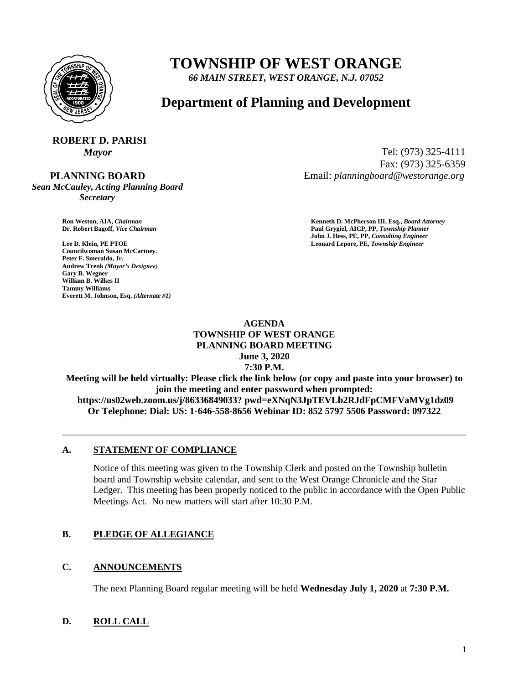

## **TOWNSHIP OF WEST ORANGE**

*66 MAIN STREET, WEST ORANGE, N.J. 07052*

### **Department of Planning and Development**

# **ROBERT D. PARISI**

 **PLANNING BOARD**

*Sean McCauley, Acting Planning Board Secretary*

**Councilwoman Susan McCartney. Peter F. Smeraldo, Jr. Andrew Trenk** *(Mayor's Designee)* **Gary B. Wegner William B. Wilkes II Tammy Williams Everett M. Johnson, Esq.** *(Alternate #1)*

*Mayor* Tel: (973) 325-4111 Fax: (973) 325-6359 Email: *planningboard@westorange.org*

**Ron Weston, AIA,** *Chairman* **Kenneth D. McPherson III, Esq.,** *Board Attorney* **Dr. Robert Bagoff,** *Vice Chairman* **Paul Grygiel, AICP, PP,** *Township Planner* **John J. Hess, PE, PP,** *Consulting Engineer* **Lee D. Klein, PE PTOE Leonard Lepore, PE,** *Township Engineer*

#### **AGENDA TOWNSHIP OF WEST ORANGE PLANNING BOARD MEETING June 3, 2020 7:30 P.M.**

**Meeting will be held virtually: Please click the link below (or copy and paste into your browser) to join the meeting and enter password when prompted: https://us02web.zoom.us/j/86336849033? pwd=eXNqN3JpTEVLb2RJdFpCMFVaMVg1dz09 Or Telephone: Dial: US: 1-646-558-8656 Webinar ID: 852 5797 5506 Password: 097322**

#### **A. STATEMENT OF COMPLIANCE**

Notice of this meeting was given to the Township Clerk and posted on the Township bulletin board and Township website calendar, and sent to the West Orange Chronicle and the Star Ledger. This meeting has been properly noticed to the public in accordance with the Open Public Meetings Act. No new matters will start after 10:30 P.M.

#### **B. PLEDGE OF ALLEGIANCE**

#### **C. ANNOUNCEMENTS**

The next Planning Board regular meeting will be held **Wednesday July 1, 2020** at **7:30 P.M.**

#### **D. ROLL CALL**